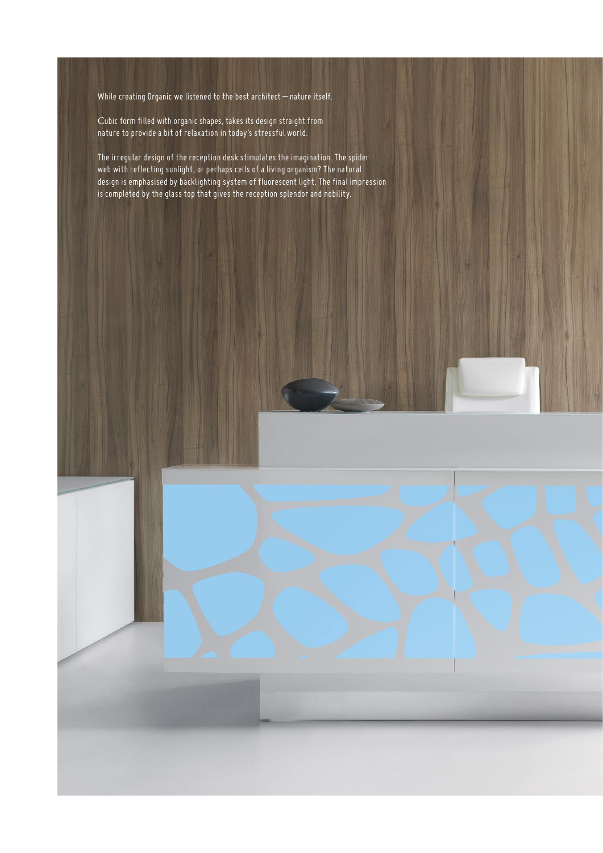While creating Organic we listened to the best architect – nature itself.

Cubic form filled with organic shapes, takes its design straight from nature to provide a bit of relaxation in today's stressful world.

The irregular design of the reception desk stimulates the imagination. The spider web with reflecting sunlight, or perhaps cells of a living organism? The natural design is emphasised by backlighting system of fluorescent light. The final impression is completed by the glass top that gives the reception splendor and nobility.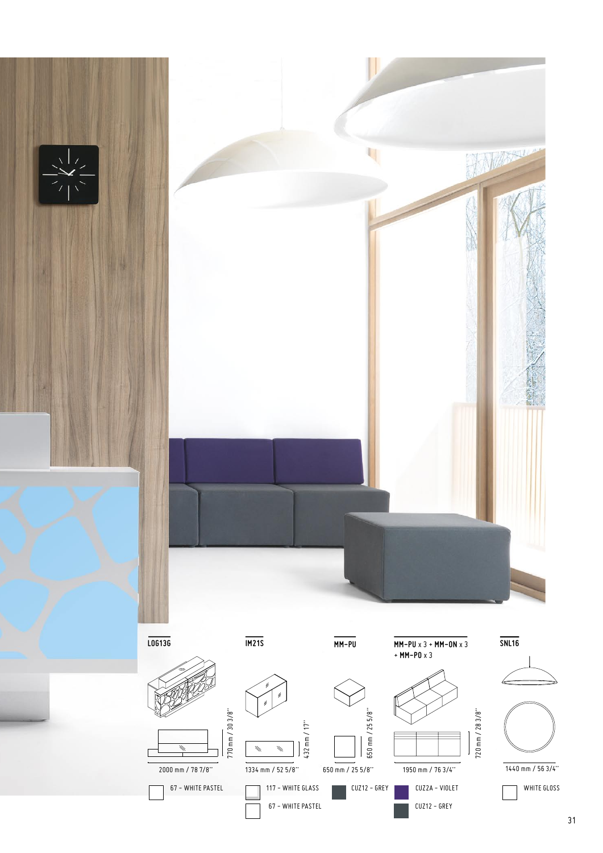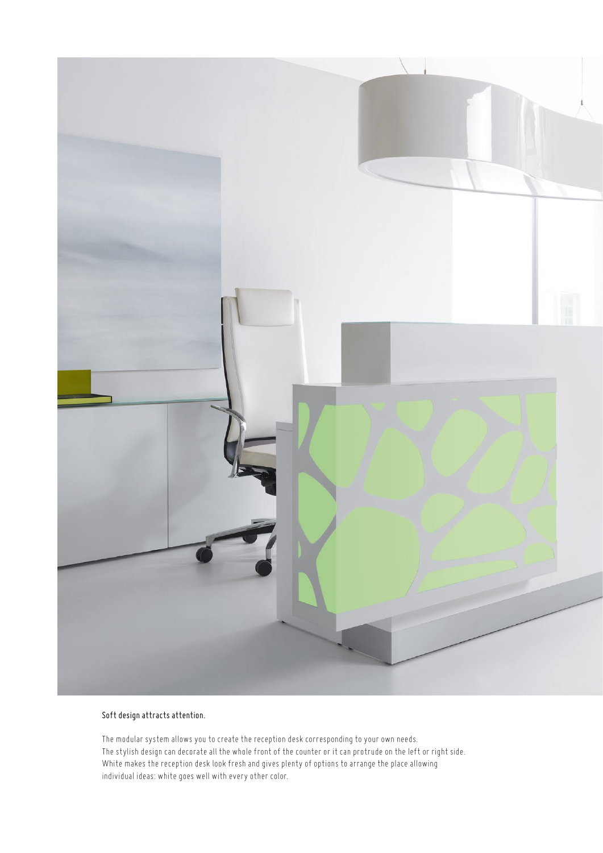

## Soft design attracts attention.

The modular system allows you to create the reception desk corresponding to your own needs. The stylish design can decorate all the whole front of the counter or it can protrude on the left or right side. White makes the reception desk look fresh and gives plenty of options to arrange the place allowing individual ideas: white goes well with every other color.